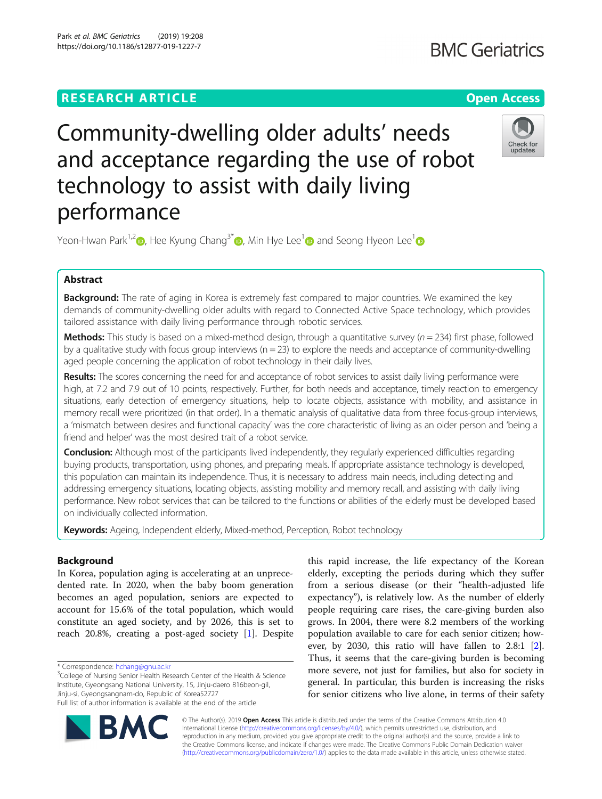**BMC Geriatrics** 

# Check for undates

Community-dwelling older adults' needs and acceptance regarding the use of robot technology to assist with daily living performance

Yeon-Hwan Park<sup>[1](https://orcid.org/0000-0001-8588-6522),2</sup> $\bullet$ , Hee Kyung Chang<sup>3\*</sup> $\bullet$ , Min Hye Lee<sup>1</sup> and Seong Hyeon Lee<sup>1</sup>

# Abstract

Background: The rate of aging in Korea is extremely fast compared to major countries. We examined the key demands of community-dwelling older adults with regard to Connected Active Space technology, which provides tailored assistance with daily living performance through robotic services.

**Methods:** This study is based on a mixed-method design, through a quantitative survey  $(n = 234)$  first phase, followed by a qualitative study with focus group interviews ( $n = 23$ ) to explore the needs and acceptance of community-dwelling aged people concerning the application of robot technology in their daily lives.

Results: The scores concerning the need for and acceptance of robot services to assist daily living performance were high, at 7.2 and 7.9 out of 10 points, respectively. Further, for both needs and acceptance, timely reaction to emergency situations, early detection of emergency situations, help to locate objects, assistance with mobility, and assistance in memory recall were prioritized (in that order). In a thematic analysis of qualitative data from three focus-group interviews, a 'mismatch between desires and functional capacity' was the core characteristic of living as an older person and 'being a friend and helper' was the most desired trait of a robot service.

**Conclusion:** Although most of the participants lived independently, they regularly experienced difficulties regarding buying products, transportation, using phones, and preparing meals. If appropriate assistance technology is developed, this population can maintain its independence. Thus, it is necessary to address main needs, including detecting and addressing emergency situations, locating objects, assisting mobility and memory recall, and assisting with daily living performance. New robot services that can be tailored to the functions or abilities of the elderly must be developed based on individually collected information.

Keywords: Ageing, Independent elderly, Mixed-method, Perception, Robot technology

# Background

In Korea, population aging is accelerating at an unprecedented rate. In 2020, when the baby boom generation becomes an aged population, seniors are expected to account for 15.6% of the total population, which would constitute an aged society, and by 2026, this is set to reach 20.8%, creating a post-aged society [\[1](#page-8-0)]. Despite

\* Correspondence: [hchang@gnu.ac.kr](mailto:hchang@gnu.ac.kr) <sup>3</sup>

<sup>3</sup>College of Nursing Senior Health Research Center of the Health & Science Institute, Gyeongsang National University, 15, Jinju-daero 816beon-gil, Jinju-si, Gyeongsangnam-do, Republic of Korea52727 Full list of author information is available at the end of the article

this rapid increase, the life expectancy of the Korean elderly, excepting the periods during which they suffer from a serious disease (or their "health-adjusted life expectancy"), is relatively low. As the number of elderly people requiring care rises, the care-giving burden also grows. In 2004, there were 8.2 members of the working population available to care for each senior citizen; however, by 2030, this ratio will have fallen to 2.8:1 [\[2](#page-8-0)]. Thus, it seems that the care-giving burden is becoming more severe, not just for families, but also for society in general. In particular, this burden is increasing the risks for senior citizens who live alone, in terms of their safety



© The Author(s). 2019 Open Access This article is distributed under the terms of the Creative Commons Attribution 4.0 International License [\(http://creativecommons.org/licenses/by/4.0/](http://creativecommons.org/licenses/by/4.0/)), which permits unrestricted use, distribution, and reproduction in any medium, provided you give appropriate credit to the original author(s) and the source, provide a link to the Creative Commons license, and indicate if changes were made. The Creative Commons Public Domain Dedication waiver [\(http://creativecommons.org/publicdomain/zero/1.0/](http://creativecommons.org/publicdomain/zero/1.0/)) applies to the data made available in this article, unless otherwise stated.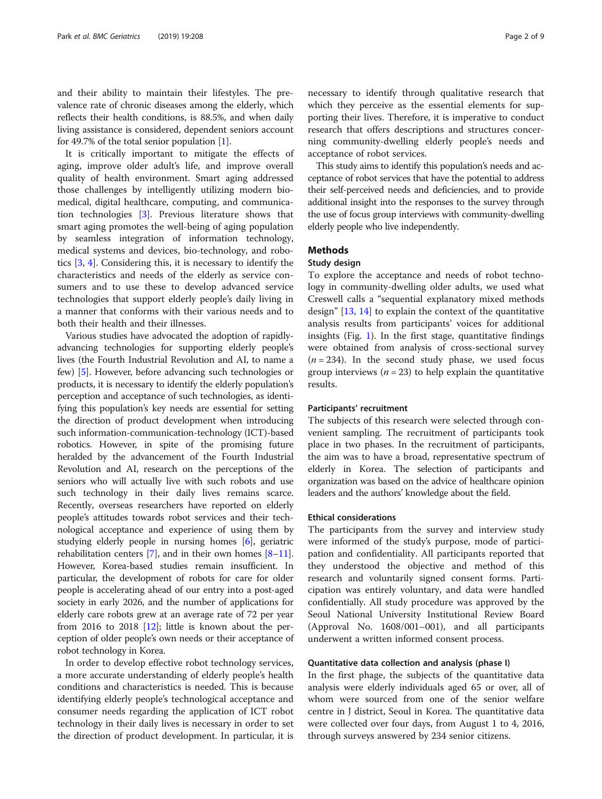and their ability to maintain their lifestyles. The prevalence rate of chronic diseases among the elderly, which reflects their health conditions, is 88.5%, and when daily living assistance is considered, dependent seniors account for 49.7% of the total senior population [[1\]](#page-8-0).

It is critically important to mitigate the effects of aging, improve older adult's life, and improve overall quality of health environment. Smart aging addressed those challenges by intelligently utilizing modern biomedical, digital healthcare, computing, and communication technologies [\[3](#page-8-0)]. Previous literature shows that smart aging promotes the well-being of aging population by seamless integration of information technology, medical systems and devices, bio-technology, and robotics [[3,](#page-8-0) [4\]](#page-8-0). Considering this, it is necessary to identify the characteristics and needs of the elderly as service consumers and to use these to develop advanced service technologies that support elderly people's daily living in a manner that conforms with their various needs and to both their health and their illnesses.

Various studies have advocated the adoption of rapidlyadvancing technologies for supporting elderly people's lives (the Fourth Industrial Revolution and AI, to name a few) [\[5\]](#page-8-0). However, before advancing such technologies or products, it is necessary to identify the elderly population's perception and acceptance of such technologies, as identifying this population's key needs are essential for setting the direction of product development when introducing such information-communication-technology (ICT)-based robotics. However, in spite of the promising future heralded by the advancement of the Fourth Industrial Revolution and AI, research on the perceptions of the seniors who will actually live with such robots and use such technology in their daily lives remains scarce. Recently, overseas researchers have reported on elderly people's attitudes towards robot services and their technological acceptance and experience of using them by studying elderly people in nursing homes [[6](#page-8-0)], geriatric rehabilitation centers [\[7\]](#page-8-0), and in their own homes [\[8](#page-8-0)–[11](#page-8-0)]. However, Korea-based studies remain insufficient. In particular, the development of robots for care for older people is accelerating ahead of our entry into a post-aged society in early 2026, and the number of applications for elderly care robots grew at an average rate of 72 per year from 2016 to 2018  $[12]$  $[12]$  $[12]$ ; little is known about the perception of older people's own needs or their acceptance of robot technology in Korea.

In order to develop effective robot technology services, a more accurate understanding of elderly people's health conditions and characteristics is needed. This is because identifying elderly people's technological acceptance and consumer needs regarding the application of ICT robot technology in their daily lives is necessary in order to set the direction of product development. In particular, it is

necessary to identify through qualitative research that which they perceive as the essential elements for supporting their lives. Therefore, it is imperative to conduct research that offers descriptions and structures concerning community-dwelling elderly people's needs and acceptance of robot services.

This study aims to identify this population's needs and acceptance of robot services that have the potential to address their self-perceived needs and deficiencies, and to provide additional insight into the responses to the survey through the use of focus group interviews with community-dwelling elderly people who live independently.

#### Methods

#### Study design

To explore the acceptance and needs of robot technology in community-dwelling older adults, we used what Creswell calls a "sequential explanatory mixed methods design" [\[13](#page-8-0), [14](#page-8-0)] to explain the context of the quantitative analysis results from participants' voices for additional insights (Fig. [1](#page-2-0)). In the first stage, quantitative findings were obtained from analysis of cross-sectional survey  $(n = 234)$ . In the second study phase, we used focus group interviews ( $n = 23$ ) to help explain the quantitative results.

#### Participants' recruitment

The subjects of this research were selected through convenient sampling. The recruitment of participants took place in two phases. In the recruitment of participants, the aim was to have a broad, representative spectrum of elderly in Korea. The selection of participants and organization was based on the advice of healthcare opinion leaders and the authors' knowledge about the field.

#### Ethical considerations

The participants from the survey and interview study were informed of the study's purpose, mode of participation and confidentiality. All participants reported that they understood the objective and method of this research and voluntarily signed consent forms. Participation was entirely voluntary, and data were handled confidentially. All study procedure was approved by the Seoul National University Institutional Review Board (Approval No. 1608/001–001), and all participants underwent a written informed consent process.

#### Quantitative data collection and analysis (phase I)

In the first phage, the subjects of the quantitative data analysis were elderly individuals aged 65 or over, all of whom were sourced from one of the senior welfare centre in J district, Seoul in Korea. The quantitative data were collected over four days, from August 1 to 4, 2016, through surveys answered by 234 senior citizens.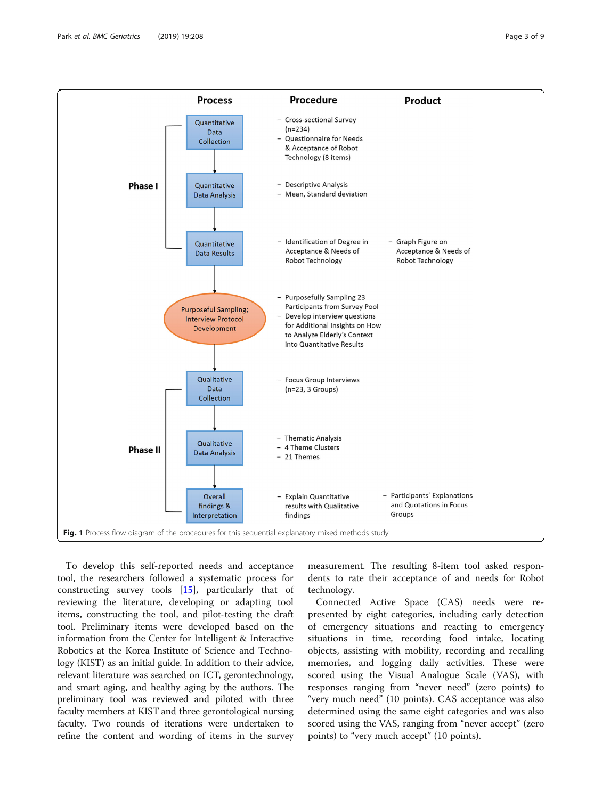<span id="page-2-0"></span>

To develop this self-reported needs and acceptance tool, the researchers followed a systematic process for constructing survey tools [\[15\]](#page-8-0), particularly that of reviewing the literature, developing or adapting tool items, constructing the tool, and pilot-testing the draft tool. Preliminary items were developed based on the information from the Center for Intelligent & Interactive Robotics at the Korea Institute of Science and Technology (KIST) as an initial guide. In addition to their advice, relevant literature was searched on ICT, gerontechnology, and smart aging, and healthy aging by the authors. The preliminary tool was reviewed and piloted with three faculty members at KIST and three gerontological nursing faculty. Two rounds of iterations were undertaken to refine the content and wording of items in the survey

measurement. The resulting 8-item tool asked respondents to rate their acceptance of and needs for Robot technology.

Connected Active Space (CAS) needs were represented by eight categories, including early detection of emergency situations and reacting to emergency situations in time, recording food intake, locating objects, assisting with mobility, recording and recalling memories, and logging daily activities. These were scored using the Visual Analogue Scale (VAS), with responses ranging from "never need" (zero points) to "very much need" (10 points). CAS acceptance was also determined using the same eight categories and was also scored using the VAS, ranging from "never accept" (zero points) to "very much accept" (10 points).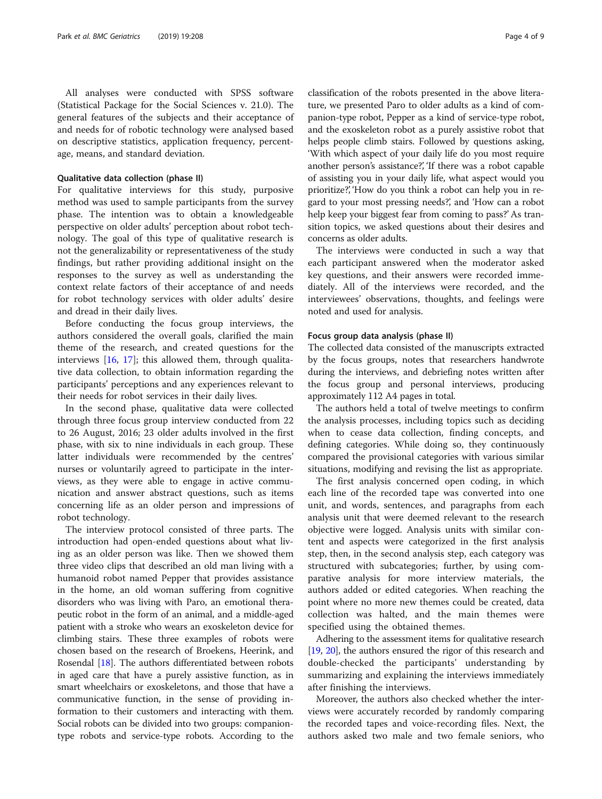All analyses were conducted with SPSS software (Statistical Package for the Social Sciences v. 21.0). The general features of the subjects and their acceptance of and needs for of robotic technology were analysed based on descriptive statistics, application frequency, percentage, means, and standard deviation.

#### Qualitative data collection (phase II)

For qualitative interviews for this study, purposive method was used to sample participants from the survey phase. The intention was to obtain a knowledgeable perspective on older adults' perception about robot technology. The goal of this type of qualitative research is not the generalizability or representativeness of the study findings, but rather providing additional insight on the responses to the survey as well as understanding the context relate factors of their acceptance of and needs for robot technology services with older adults' desire and dread in their daily lives.

Before conducting the focus group interviews, the authors considered the overall goals, clarified the main theme of the research, and created questions for the interviews  $[16, 17]$  $[16, 17]$  $[16, 17]$  $[16, 17]$ ; this allowed them, through qualitative data collection, to obtain information regarding the participants' perceptions and any experiences relevant to their needs for robot services in their daily lives.

In the second phase, qualitative data were collected through three focus group interview conducted from 22 to 26 August, 2016; 23 older adults involved in the first phase, with six to nine individuals in each group. These latter individuals were recommended by the centres' nurses or voluntarily agreed to participate in the interviews, as they were able to engage in active communication and answer abstract questions, such as items concerning life as an older person and impressions of robot technology.

The interview protocol consisted of three parts. The introduction had open-ended questions about what living as an older person was like. Then we showed them three video clips that described an old man living with a humanoid robot named Pepper that provides assistance in the home, an old woman suffering from cognitive disorders who was living with Paro, an emotional therapeutic robot in the form of an animal, and a middle-aged patient with a stroke who wears an exoskeleton device for climbing stairs. These three examples of robots were chosen based on the research of Broekens, Heerink, and Rosendal [[18](#page-8-0)]. The authors differentiated between robots in aged care that have a purely assistive function, as in smart wheelchairs or exoskeletons, and those that have a communicative function, in the sense of providing information to their customers and interacting with them. Social robots can be divided into two groups: companiontype robots and service-type robots. According to the

classification of the robots presented in the above literature, we presented Paro to older adults as a kind of companion-type robot, Pepper as a kind of service-type robot, and the exoskeleton robot as a purely assistive robot that helps people climb stairs. Followed by questions asking, 'With which aspect of your daily life do you most require another person's assistance?', 'If there was a robot capable of assisting you in your daily life, what aspect would you prioritize?', 'How do you think a robot can help you in regard to your most pressing needs?', and 'How can a robot help keep your biggest fear from coming to pass?' As transition topics, we asked questions about their desires and concerns as older adults.

The interviews were conducted in such a way that each participant answered when the moderator asked key questions, and their answers were recorded immediately. All of the interviews were recorded, and the interviewees' observations, thoughts, and feelings were noted and used for analysis.

#### Focus group data analysis (phase II)

The collected data consisted of the manuscripts extracted by the focus groups, notes that researchers handwrote during the interviews, and debriefing notes written after the focus group and personal interviews, producing approximately 112 A4 pages in total.

The authors held a total of twelve meetings to confirm the analysis processes, including topics such as deciding when to cease data collection, finding concepts, and defining categories. While doing so, they continuously compared the provisional categories with various similar situations, modifying and revising the list as appropriate.

The first analysis concerned open coding, in which each line of the recorded tape was converted into one unit, and words, sentences, and paragraphs from each analysis unit that were deemed relevant to the research objective were logged. Analysis units with similar content and aspects were categorized in the first analysis step, then, in the second analysis step, each category was structured with subcategories; further, by using comparative analysis for more interview materials, the authors added or edited categories. When reaching the point where no more new themes could be created, data collection was halted, and the main themes were specified using the obtained themes.

Adhering to the assessment items for qualitative research [[19](#page-8-0), [20\]](#page-8-0), the authors ensured the rigor of this research and double-checked the participants' understanding by summarizing and explaining the interviews immediately after finishing the interviews.

Moreover, the authors also checked whether the interviews were accurately recorded by randomly comparing the recorded tapes and voice-recording files. Next, the authors asked two male and two female seniors, who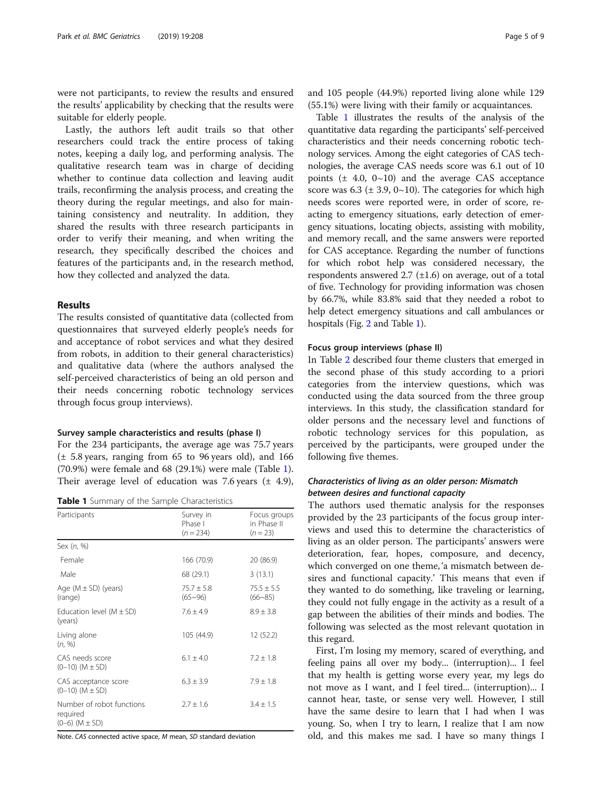were not participants, to review the results and ensured the results' applicability by checking that the results were suitable for elderly people.

Lastly, the authors left audit trails so that other researchers could track the entire process of taking notes, keeping a daily log, and performing analysis. The qualitative research team was in charge of deciding whether to continue data collection and leaving audit trails, reconfirming the analysis process, and creating the theory during the regular meetings, and also for maintaining consistency and neutrality. In addition, they shared the results with three research participants in order to verify their meaning, and when writing the research, they specifically described the choices and features of the participants and, in the research method, how they collected and analyzed the data.

### Results

The results consisted of quantitative data (collected from questionnaires that surveyed elderly people's needs for and acceptance of robot services and what they desired from robots, in addition to their general characteristics) and qualitative data (where the authors analysed the self-perceived characteristics of being an old person and their needs concerning robotic technology services through focus group interviews).

#### Survey sample characteristics and results (phase I)

For the 234 participants, the average age was 75.7 years (± 5.8 years, ranging from 65 to 96 years old), and 166 (70.9%) were female and 68 (29.1%) were male (Table 1). Their average level of education was 7.6 years  $(\pm 4.9)$ ,

Table 1 Summary of the Sample Characteristics

| Participants                                                  | Survey in<br>Phase I<br>$(n = 234)$ | Focus groups<br>in Phase II<br>$(n = 23)$ |
|---------------------------------------------------------------|-------------------------------------|-------------------------------------------|
| Sex (n, %)                                                    |                                     |                                           |
| Female                                                        | 166 (70.9)                          | 20 (86.9)                                 |
| Male                                                          | 68 (29.1)                           | 3(13.1)                                   |
| Age $(M \pm SD)$ (years)<br>(range)                           | $75.7 \pm 5.8$<br>$(65 - 96)$       | $75.5 \pm 5.5$<br>$(66 - 85)$             |
| Education level $(M \pm SD)$<br>(years)                       | $7.6 \pm 4.9$                       | $8.9 \pm 3.8$                             |
| Living alone<br>(n, %)                                        | 105 (44.9)                          | 12 (52.2)                                 |
| CAS needs score<br>$(0-10)$ $(M \pm SD)$                      | $6.1 \pm 4.0$                       | $7.2 \pm 1.8$                             |
| CAS acceptance score<br>$(0-10)$ $(M \pm SD)$                 | $6.3 \pm 3.9$                       | $7.9 \pm 1.8$                             |
| Number of robot functions<br>required<br>$(0-6)$ $(M \pm SD)$ | $2.7 \pm 1.6$                       | $3.4 \pm 1.5$                             |

Note. CAS connected active space, M mean, SD standard deviation

and 105 people (44.9%) reported living alone while 129 (55.1%) were living with their family or acquaintances.

Table 1 illustrates the results of the analysis of the quantitative data regarding the participants' self-perceived characteristics and their needs concerning robotic technology services. Among the eight categories of CAS technologies, the average CAS needs score was 6.1 out of 10 points  $(\pm 4.0, 0 \sim 10)$  and the average CAS acceptance score was  $6.3$  ( $\pm$  3.9, 0~10). The categories for which high needs scores were reported were, in order of score, reacting to emergency situations, early detection of emergency situations, locating objects, assisting with mobility, and memory recall, and the same answers were reported for CAS acceptance. Regarding the number of functions for which robot help was considered necessary, the respondents answered 2.7 (±1.6) on average, out of a total of five. Technology for providing information was chosen by 66.7%, while 83.8% said that they needed a robot to help detect emergency situations and call ambulances or hospitals (Fig. [2](#page-5-0) and Table 1).

#### Focus group interviews (phase II)

In Table [2](#page-5-0) described four theme clusters that emerged in the second phase of this study according to a priori categories from the interview questions, which was conducted using the data sourced from the three group interviews. In this study, the classification standard for older persons and the necessary level and functions of robotic technology services for this population, as perceived by the participants, were grouped under the following five themes.

## Characteristics of living as an older person: Mismatch between desires and functional capacity

The authors used thematic analysis for the responses provided by the 23 participants of the focus group interviews and used this to determine the characteristics of living as an older person. The participants' answers were deterioration, fear, hopes, composure, and decency, which converged on one theme, 'a mismatch between desires and functional capacity.' This means that even if they wanted to do something, like traveling or learning, they could not fully engage in the activity as a result of a gap between the abilities of their minds and bodies. The following was selected as the most relevant quotation in this regard.

First, I'm losing my memory, scared of everything, and feeling pains all over my body... (interruption)... I feel that my health is getting worse every year, my legs do not move as I want, and I feel tired... (interruption)... I cannot hear, taste, or sense very well. However, I still have the same desire to learn that I had when I was young. So, when I try to learn, I realize that I am now old, and this makes me sad. I have so many things I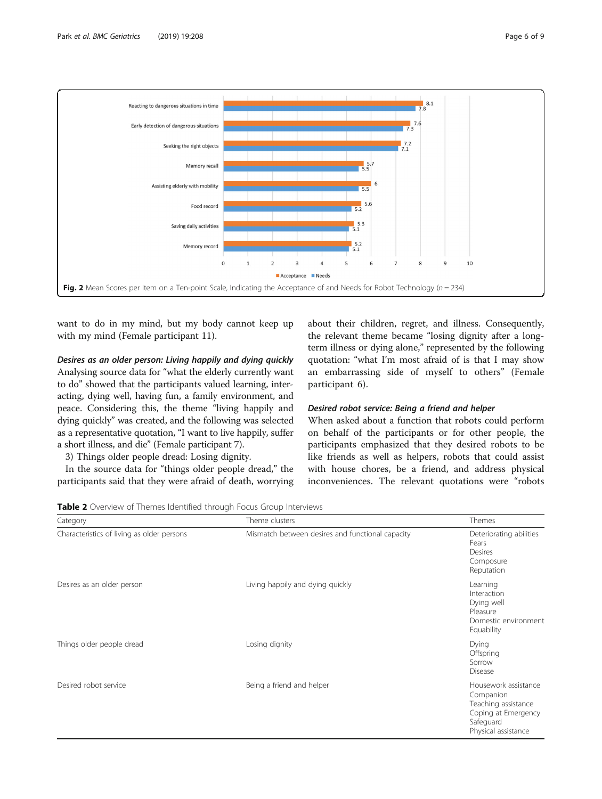<span id="page-5-0"></span>

want to do in my mind, but my body cannot keep up with my mind (Female participant 11).

### Desires as an older person: Living happily and dying quickly

Analysing source data for "what the elderly currently want to do" showed that the participants valued learning, interacting, dying well, having fun, a family environment, and peace. Considering this, the theme "living happily and dying quickly" was created, and the following was selected as a representative quotation, "I want to live happily, suffer a short illness, and die" (Female participant 7).

3) Things older people dread: Losing dignity.

In the source data for "things older people dread," the participants said that they were afraid of death, worrying about their children, regret, and illness. Consequently, the relevant theme became "losing dignity after a longterm illness or dying alone," represented by the following quotation: "what I'm most afraid of is that I may show an embarrassing side of myself to others" (Female participant 6).

### Desired robot service: Being a friend and helper

When asked about a function that robots could perform on behalf of the participants or for other people, the participants emphasized that they desired robots to be like friends as well as helpers, robots that could assist with house chores, be a friend, and address physical inconveniences. The relevant quotations were "robots

Table 2 Overview of Themes Identified through Focus Group Interviews

| Category                                   | Theme clusters                                   | Themes                                                                                                              |
|--------------------------------------------|--------------------------------------------------|---------------------------------------------------------------------------------------------------------------------|
| Characteristics of living as older persons | Mismatch between desires and functional capacity | Deteriorating abilities<br>Fears<br>Desires<br>Composure<br>Reputation                                              |
| Desires as an older person                 | Living happily and dying quickly                 | Learning<br>Interaction<br>Dying well<br>Pleasure<br>Domestic environment<br>Equability                             |
| Things older people dread                  | Losing dignity                                   | Dying<br>Offspring<br>Sorrow<br>Disease                                                                             |
| Desired robot service                      | Being a friend and helper                        | Housework assistance<br>Companion<br>Teaching assistance<br>Coping at Emergency<br>Safeguard<br>Physical assistance |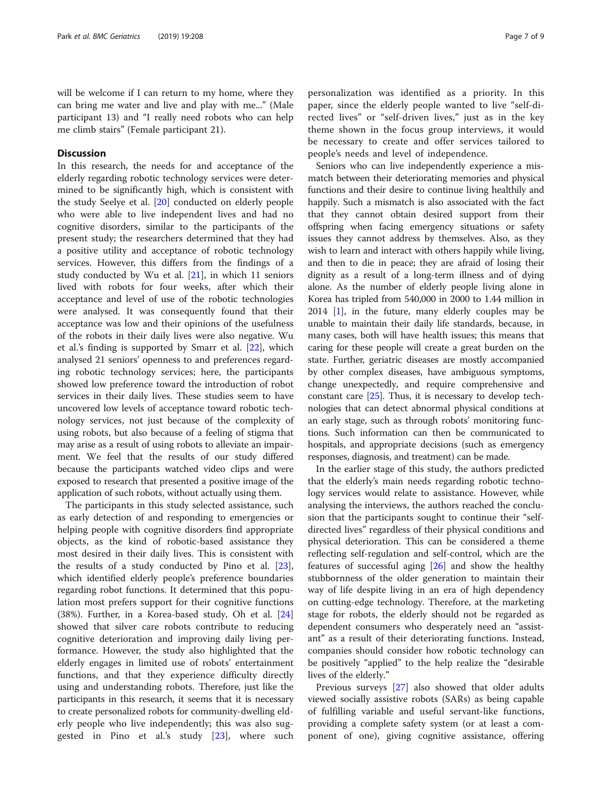will be welcome if I can return to my home, where they can bring me water and live and play with me..." (Male participant 13) and "I really need robots who can help me climb stairs" (Female participant 21).

#### **Discussion**

In this research, the needs for and acceptance of the elderly regarding robotic technology services were determined to be significantly high, which is consistent with the study Seelye et al. [\[20](#page-8-0)] conducted on elderly people who were able to live independent lives and had no cognitive disorders, similar to the participants of the present study; the researchers determined that they had a positive utility and acceptance of robotic technology services. However, this differs from the findings of a study conducted by Wu et al. [[21\]](#page-8-0), in which 11 seniors lived with robots for four weeks, after which their acceptance and level of use of the robotic technologies were analysed. It was consequently found that their acceptance was low and their opinions of the usefulness of the robots in their daily lives were also negative. Wu et al.'s finding is supported by Smarr et al. [[22\]](#page-8-0), which analysed 21 seniors' openness to and preferences regarding robotic technology services; here, the participants showed low preference toward the introduction of robot services in their daily lives. These studies seem to have uncovered low levels of acceptance toward robotic technology services, not just because of the complexity of using robots, but also because of a feeling of stigma that may arise as a result of using robots to alleviate an impairment. We feel that the results of our study differed because the participants watched video clips and were exposed to research that presented a positive image of the application of such robots, without actually using them.

The participants in this study selected assistance, such as early detection of and responding to emergencies or helping people with cognitive disorders find appropriate objects, as the kind of robotic-based assistance they most desired in their daily lives. This is consistent with the results of a study conducted by Pino et al. [\[23](#page-8-0)], which identified elderly people's preference boundaries regarding robot functions. It determined that this population most prefers support for their cognitive functions (38%). Further, in a Korea-based study, Oh et al. [[24](#page-8-0)] showed that silver care robots contribute to reducing cognitive deterioration and improving daily living performance. However, the study also highlighted that the elderly engages in limited use of robots' entertainment functions, and that they experience difficulty directly using and understanding robots. Therefore, just like the participants in this research, it seems that it is necessary to create personalized robots for community-dwelling elderly people who live independently; this was also suggested in Pino et al.'s study [[23\]](#page-8-0), where such

personalization was identified as a priority. In this paper, since the elderly people wanted to live "self-directed lives" or "self-driven lives," just as in the key theme shown in the focus group interviews, it would be necessary to create and offer services tailored to people's needs and level of independence.

Seniors who can live independently experience a mismatch between their deteriorating memories and physical functions and their desire to continue living healthily and happily. Such a mismatch is also associated with the fact that they cannot obtain desired support from their offspring when facing emergency situations or safety issues they cannot address by themselves. Also, as they wish to learn and interact with others happily while living, and then to die in peace; they are afraid of losing their dignity as a result of a long-term illness and of dying alone. As the number of elderly people living alone in Korea has tripled from 540,000 in 2000 to 1.44 million in 2014 [[1](#page-8-0)], in the future, many elderly couples may be unable to maintain their daily life standards, because, in many cases, both will have health issues; this means that caring for these people will create a great burden on the state. Further, geriatric diseases are mostly accompanied by other complex diseases, have ambiguous symptoms, change unexpectedly, and require comprehensive and constant care [[25\]](#page-8-0). Thus, it is necessary to develop technologies that can detect abnormal physical conditions at an early stage, such as through robots' monitoring functions. Such information can then be communicated to hospitals, and appropriate decisions (such as emergency responses, diagnosis, and treatment) can be made.

In the earlier stage of this study, the authors predicted that the elderly's main needs regarding robotic technology services would relate to assistance. However, while analysing the interviews, the authors reached the conclusion that the participants sought to continue their "selfdirected lives" regardless of their physical conditions and physical deterioration. This can be considered a theme reflecting self-regulation and self-control, which are the features of successful aging [[26](#page-8-0)] and show the healthy stubbornness of the older generation to maintain their way of life despite living in an era of high dependency on cutting-edge technology. Therefore, at the marketing stage for robots, the elderly should not be regarded as dependent consumers who desperately need an "assistant" as a result of their deteriorating functions. Instead, companies should consider how robotic technology can be positively "applied" to the help realize the "desirable lives of the elderly."

Previous surveys [\[27](#page-8-0)] also showed that older adults viewed socially assistive robots (SARs) as being capable of fulfilling variable and useful servant-like functions, providing a complete safety system (or at least a component of one), giving cognitive assistance, offering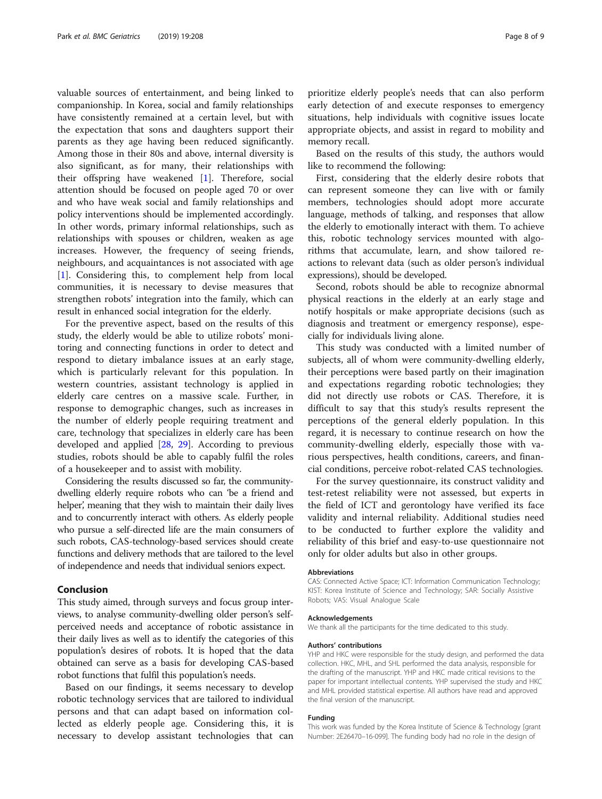valuable sources of entertainment, and being linked to companionship. In Korea, social and family relationships have consistently remained at a certain level, but with the expectation that sons and daughters support their parents as they age having been reduced significantly. Among those in their 80s and above, internal diversity is also significant, as for many, their relationships with their offspring have weakened  $[1]$  $[1]$ . Therefore, social attention should be focused on people aged 70 or over and who have weak social and family relationships and policy interventions should be implemented accordingly. In other words, primary informal relationships, such as relationships with spouses or children, weaken as age increases. However, the frequency of seeing friends, neighbours, and acquaintances is not associated with age [[1\]](#page-8-0). Considering this, to complement help from local communities, it is necessary to devise measures that strengthen robots' integration into the family, which can result in enhanced social integration for the elderly.

For the preventive aspect, based on the results of this study, the elderly would be able to utilize robots' monitoring and connecting functions in order to detect and respond to dietary imbalance issues at an early stage, which is particularly relevant for this population. In western countries, assistant technology is applied in elderly care centres on a massive scale. Further, in response to demographic changes, such as increases in the number of elderly people requiring treatment and care, technology that specializes in elderly care has been developed and applied [[28](#page-8-0), [29\]](#page-8-0). According to previous studies, robots should be able to capably fulfil the roles of a housekeeper and to assist with mobility.

Considering the results discussed so far, the communitydwelling elderly require robots who can 'be a friend and helper, meaning that they wish to maintain their daily lives and to concurrently interact with others. As elderly people who pursue a self-directed life are the main consumers of such robots, CAS-technology-based services should create functions and delivery methods that are tailored to the level of independence and needs that individual seniors expect.

#### Conclusion

This study aimed, through surveys and focus group interviews, to analyse community-dwelling older person's selfperceived needs and acceptance of robotic assistance in their daily lives as well as to identify the categories of this population's desires of robots. It is hoped that the data obtained can serve as a basis for developing CAS-based robot functions that fulfil this population's needs.

Based on our findings, it seems necessary to develop robotic technology services that are tailored to individual persons and that can adapt based on information collected as elderly people age. Considering this, it is necessary to develop assistant technologies that can

prioritize elderly people's needs that can also perform early detection of and execute responses to emergency situations, help individuals with cognitive issues locate appropriate objects, and assist in regard to mobility and memory recall.

Based on the results of this study, the authors would like to recommend the following:

First, considering that the elderly desire robots that can represent someone they can live with or family members, technologies should adopt more accurate language, methods of talking, and responses that allow the elderly to emotionally interact with them. To achieve this, robotic technology services mounted with algorithms that accumulate, learn, and show tailored reactions to relevant data (such as older person's individual expressions), should be developed.

Second, robots should be able to recognize abnormal physical reactions in the elderly at an early stage and notify hospitals or make appropriate decisions (such as diagnosis and treatment or emergency response), especially for individuals living alone.

This study was conducted with a limited number of subjects, all of whom were community-dwelling elderly, their perceptions were based partly on their imagination and expectations regarding robotic technologies; they did not directly use robots or CAS. Therefore, it is difficult to say that this study's results represent the perceptions of the general elderly population. In this regard, it is necessary to continue research on how the community-dwelling elderly, especially those with various perspectives, health conditions, careers, and financial conditions, perceive robot-related CAS technologies.

For the survey questionnaire, its construct validity and test-retest reliability were not assessed, but experts in the field of ICT and gerontology have verified its face validity and internal reliability. Additional studies need to be conducted to further explore the validity and reliability of this brief and easy-to-use questionnaire not only for older adults but also in other groups.

#### Abbreviations

CAS: Connected Active Space; ICT: Information Communication Technology; KIST: Korea Institute of Science and Technology; SAR: Socially Assistive Robots; VAS: Visual Analogue Scale

#### Acknowledgements

We thank all the participants for the time dedicated to this study.

#### Authors' contributions

YHP and HKC were responsible for the study design, and performed the data collection. HKC, MHL, and SHL performed the data analysis, responsible for the drafting of the manuscript. YHP and HKC made critical revisions to the paper for important intellectual contents. YHP supervised the study and HKC and MHL provided statistical expertise. All authors have read and approved the final version of the manuscript.

#### Funding

This work was funded by the Korea Institute of Science & Technology [grant Number: 2E26470–16-099]. The funding body had no role in the design of